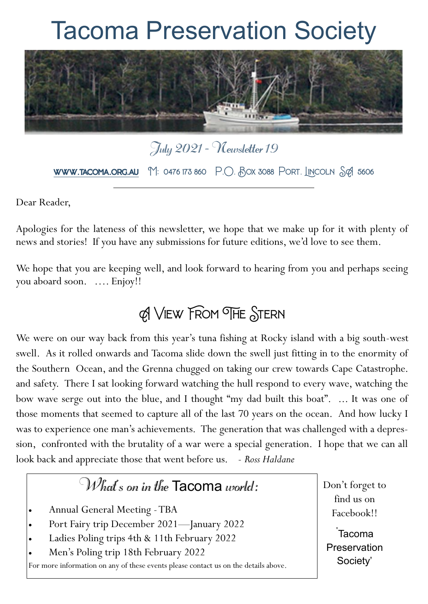# Tacoma Preservation Society



July 2021 - Newsletter 19 **www.tacoma.org.au**  $M$ : 0476 173 860  $P.O.$  Box 3088 Port. Incoln Sq 5606

Dear Reader,

Apologies for the lateness of this newsletter, we hope that we make up for it with plenty of news and stories! If you have any submissions for future editions, we'd love to see them.

We hope that you are keeping well, and look forward to hearing from you and perhaps seeing you aboard soon. …. Enjoy!!

## A View From The Stern

We were on our way back from this year's tuna fishing at Rocky island with a big south-west swell. As it rolled onwards and Tacoma slide down the swell just fitting in to the enormity of the Southern Ocean, and the Grenna chugged on taking our crew towards Cape Catastrophe. and safety. There I sat looking forward watching the hull respond to every wave, watching the bow wave serge out into the blue, and I thought "my dad built this boat". ... It was one of those moments that seemed to capture all of the last 70 years on the ocean. And how lucky I was to experience one man's achievements. The generation that was challenged with a depression, confronted with the brutality of a war were a special generation. I hope that we can all look back and appreciate those that went before us. - Ross Haldane

### What's on in the Tacoma world:

- Annual General Meeting -TBA
- Port Fairy trip December 2021—January 2022
- Ladies Poling trips 4th & 11th February 2022
- Men's Poling trip 18th February 2022

For more information on any of these events please contact us on the details above.

Don't forget to find us on Facebook!!

'Tacoma Preservation Society'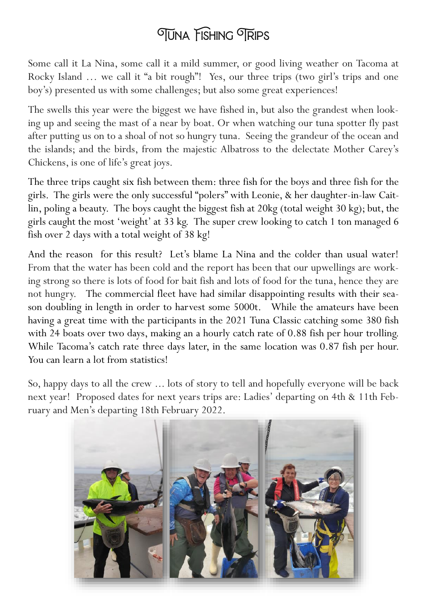## **OTUNA FISHING OTRIPS**

Some call it La Nina, some call it a mild summer, or good living weather on Tacoma at Rocky Island … we call it "a bit rough"! Yes, our three trips (two girl's trips and one boy's) presented us with some challenges; but also some great experiences!

The swells this year were the biggest we have fished in, but also the grandest when looking up and seeing the mast of a near by boat. Or when watching our tuna spotter fly past after putting us on to a shoal of not so hungry tuna. Seeing the grandeur of the ocean and the islands; and the birds, from the majestic Albatross to the delectate Mother Carey's Chickens, is one of life's great joys.

The three trips caught six fish between them: three fish for the boys and three fish for the girls. The girls were the only successful "polers" with Leonie, & her daughter-in-law Caitlin, poling a beauty. The boys caught the biggest fish at 20kg (total weight 30 kg); but, the girls caught the most 'weight' at 33 kg. The super crew looking to catch 1 ton managed 6 fish over 2 days with a total weight of 38 kg!

And the reason for this result? Let's blame La Nina and the colder than usual water! From that the water has been cold and the report has been that our upwellings are working strong so there is lots of food for bait fish and lots of food for the tuna, hence they are not hungry. The commercial fleet have had similar disappointing results with their season doubling in length in order to harvest some 5000t. While the amateurs have been having a great time with the participants in the 2021 Tuna Classic catching some 380 fish with 24 boats over two days, making an a hourly catch rate of 0.88 fish per hour trolling. While Tacoma's catch rate three days later, in the same location was 0.87 fish per hour. You can learn a lot from statistics!

So, happy days to all the crew ... lots of story to tell and hopefully everyone will be back next year! Proposed dates for next years trips are: Ladies' departing on 4th & 11th February and Men's departing 18th February 2022.

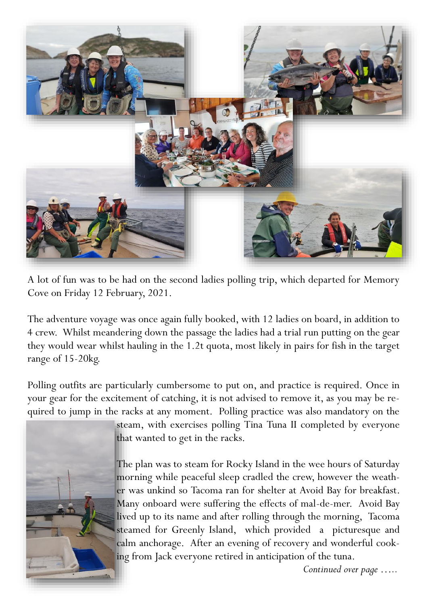

A lot of fun was to be had on the second ladies polling trip, which departed for Memory Cove on Friday 12 February, 2021.

The adventure voyage was once again fully booked, with 12 ladies on board, in addition to 4 crew. Whilst meandering down the passage the ladies had a trial run putting on the gear they would wear whilst hauling in the 1.2t quota, most likely in pairs for fish in the target range of 15-20kg.

Polling outfits are particularly cumbersome to put on, and practice is required. Once in your gear for the excitement of catching, it is not advised to remove it, as you may be required to jump in the racks at any moment. Polling practice was also mandatory on the



steam, with exercises polling Tina Tuna II completed by everyone that wanted to get in the racks.

The plan was to steam for Rocky Island in the wee hours of Saturday morning while peaceful sleep cradled the crew, however the weather was unkind so Tacoma ran for shelter at Avoid Bay for breakfast. Many onboard were suffering the effects of mal-de-mer. Avoid Bay lived up to its name and after rolling through the morning, Tacoma steamed for Greenly Island, which provided a picturesque and calm anchorage. After an evening of recovery and wonderful cooking from Jack everyone retired in anticipation of the tuna.

*Continued over page …..*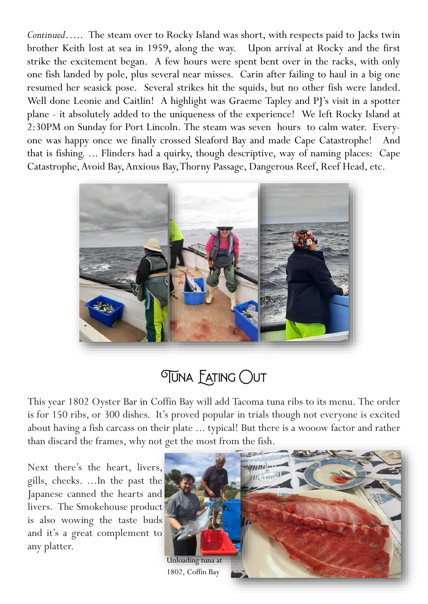*Continued*….. The steam over to Rocky Island was short, with respects paid to Jacks twin brother Keith lost at sea in 1959, along the way. Upon arrival at Rocky and the first strike the excitement began. A few hours were spent bent over in the racks, with only one fish landed by pole, plus several near misses. Carin after failing to haul in a big one resumed her seasick pose. Several strikes hit the squids, but no other fish were landed. Well done Leonie and Caitlin! A highlight was Graeme Tapley and PJ's visit in a spotter plane - it absolutely added to the uniqueness of the experience! We left Rocky Island at 2:30PM on Sunday for Port Lincoln. The steam was seven hours to calm water. Everyone was happy once we finally crossed Sleaford Bay and made Cape Catastrophe! And that is fishing. ... Flinders had a quirky, though descriptive, way of naming places: Cape Catastrophe, Avoid Bay, Anxious Bay, Thorny Passage, Dangerous Reef, Reef Head, etc.



# *OUNA EATING OUT*

This year 1802 Oyster Bar in Coffin Bay will add Tacoma tuna ribs to its menu. The order is for 150 ribs, or 300 dishes. It's proved popular in trials though not everyone is excited about having a fish carcass on their plate ... typical! But there is a wooow factor and rather than discard the frames, why not get the most from the fish.

Next there's the heart, livers, gills, cheeks. ...In the past the Japanese canned the hearts and livers. The Smokehouse product is also wowing the taste buds and it's a great complement to any platter.

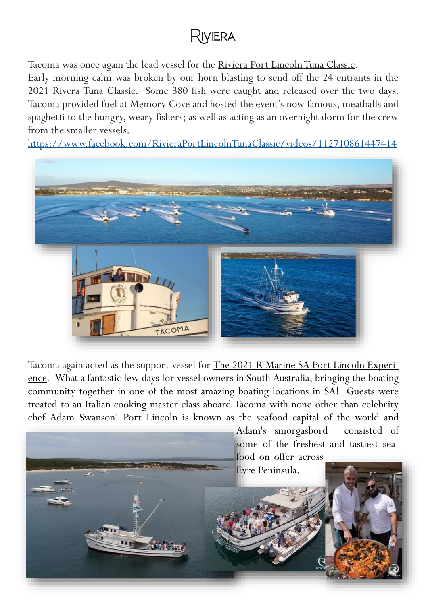### Riviera

Tacoma was once again the lead vessel for the Riviera Port Lincoln Tuna Classic.

Early morning calm was broken by our horn blasting to send off the 24 entrants in the 2021 Rivera Tuna Classic. Some 380 fish were caught and released over the two days. Tacoma provided fuel at Memory Cove and hosted the event's now famous, meatballs and spaghetti to the hungry, weary fishers; as well as acting as an overnight dorm for the crew from the smaller vessels.

<https://www.facebook.com/RivieraPortLincolnTunaClassic/videos/112710861447414>



Tacoma again acted as the support vessel for The 2021 R Marine SA Port Lincoln Experience. What a fantastic few days for vessel owners in South Australia, bringing the boating community together in one of the most amazing boating locations in SA! Guests were treated to an Italian cooking master class aboard Tacoma with none other than celebrity chef Adam Swanson! Port Lincoln is known as the seafood capital of the world and

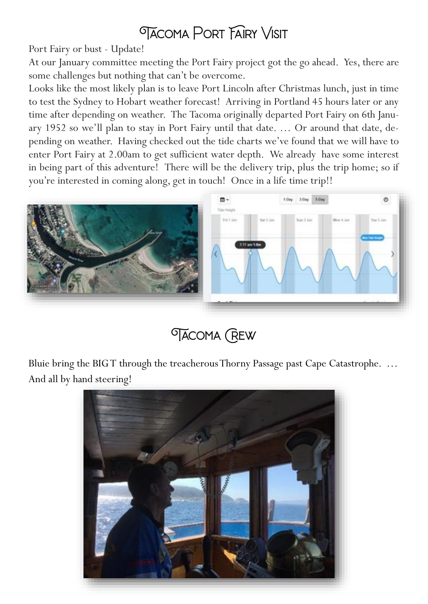### **TACOMA PORT FAIRY VISIT**

Port Fairy or bust - Update!

At our January committee meeting the Port Fairy project got the go ahead. Yes, there are some challenges but nothing that can't be overcome.

Looks like the most likely plan is to leave Port Lincoln after Christmas lunch, just in time to test the Sydney to Hobart weather forecast! Arriving in Portland 45 hours later or any time after depending on weather. The Tacoma originally departed Port Fairy on 6th January 1952 so we'll plan to stay in Port Fairy until that date. … Or around that date, depending on weather. Having checked out the tide charts we've found that we will have to enter Port Fairy at 2.00am to get sufficient water depth. We already have some interest in being part of this adventure! There will be the delivery trip, plus the trip home; so if you're interested in coming along, get in touch! Once in a life time trip!!



# **TACOMA (REW)**

Bluie bring the BIG T through the treacherous Thorny Passage past Cape Catastrophe. … And all by hand steering!

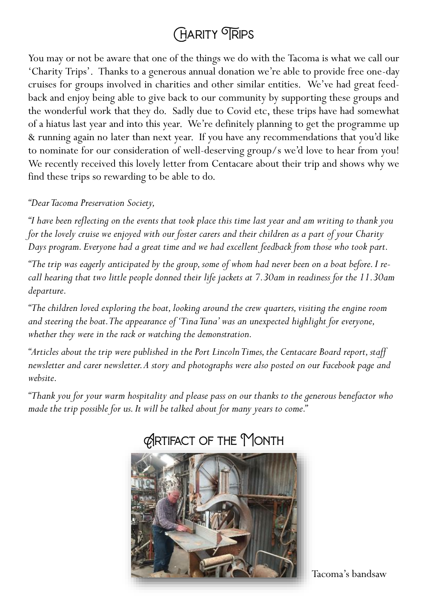# **CHARITY TRIPS**

You may or not be aware that one of the things we do with the Tacoma is what we call our 'Charity Trips'. Thanks to a generous annual donation we're able to provide free one-day cruises for groups involved in charities and other similar entities. We've had great feedback and enjoy being able to give back to our community by supporting these groups and the wonderful work that they do. Sadly due to Covid etc, these trips have had somewhat of a hiatus last year and into this year. We're definitely planning to get the programme up & running again no later than next year. If you have any recommendations that you'd like to nominate for our consideration of well-deserving group/s we'd love to hear from you! We recently received this lovely letter from Centacare about their trip and shows why we find these trips so rewarding to be able to do.

#### *"Dear Tacoma Preservation Society,*

*"I have been reflecting on the events that took place this time last year and am writing to thank you for the lovely cruise we enjoyed with our foster carers and their children as a part of your Charity Days program. Everyone had a great time and we had excellent feedback from those who took part.*

*"The trip was eagerly anticipated by the group, some of whom had never been on a boat before. I recall hearing that two little people donned their life jackets at 7.30am in readiness for the 11.30am departure.* 

*"The children loved exploring the boat, looking around the crew quarters, visiting the engine room and steering the boat. The appearance of 'Tina Tuna' was an unexpected highlight for everyone, whether they were in the rack or watching the demonstration.*

*"Articles about the trip were published in the Port Lincoln Times, the Centacare Board report, staff newsletter and carer newsletter. A story and photographs were also posted on our Facebook page and website.*

*"Thank you for your warm hospitality and please pass on our thanks to the generous benefactor who made the trip possible for us. It will be talked about for many years to come."*



### **CRIFACT OF THE MONTH**

Tacoma's bandsaw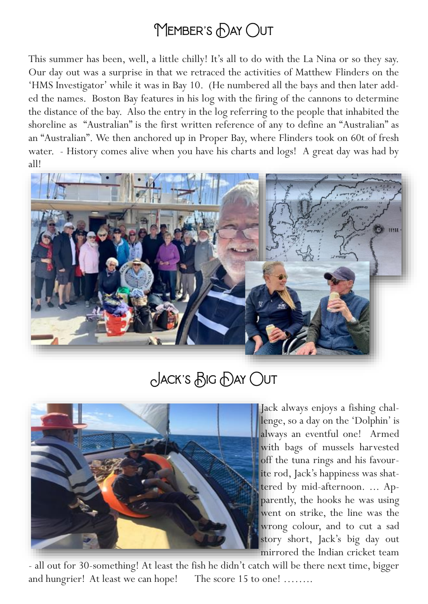# MEMBER'S DAY OUT

This summer has been, well, a little chilly! It's all to do with the La Nina or so they say. Our day out was a surprise in that we retraced the activities of Matthew Flinders on the 'HMS Investigator' while it was in Bay 10. (He numbered all the bays and then later added the names. Boston Bay features in his log with the firing of the cannons to determine the distance of the bay. Also the entry in the log referring to the people that inhabited the shoreline as "Australian" is the first written reference of any to define an "Australian" as an "Australian". We then anchored up in Proper Bay, where Flinders took on 60t of fresh water. - History comes alive when you have his charts and logs! A great day was had by all!



Jack's Big Day Out



Jack always enjoys a fishing challenge, so a day on the 'Dolphin' is always an eventful one! Armed with bags of mussels harvested off the tuna rings and his favourite rod, Jack's happiness was shattered by mid-afternoon. ... Apparently, the hooks he was using went on strike, the line was the wrong colour, and to cut a sad story short, Jack's big day out mirrored the Indian cricket team

- all out for 30-something! At least the fish he didn't catch will be there next time, bigger and hungrier! At least we can hope! The score 15 to one! ........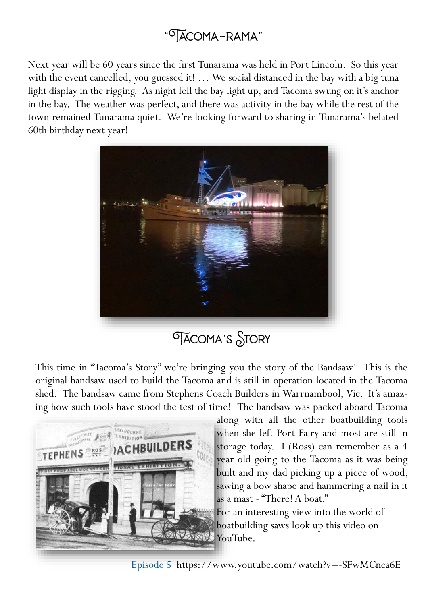### "Tacoma-rama"

Next year will be 60 years since the first Tunarama was held in Port Lincoln. So this year with the event cancelled, you guessed it! ... We social distanced in the bay with a big tuna light display in the rigging. As night fell the bay light up, and Tacoma swung on it's anchor in the bay. The weather was perfect, and there was activity in the bay while the rest of the town remained Tunarama quiet. We're looking forward to sharing in Tunarama's belated 60th birthday next year!



### **TACOMA'S STORY**

This time in "Tacoma's Story" we're bringing you the story of the Bandsaw! This is the original bandsaw used to build the Tacoma and is still in operation located in the Tacoma shed. The bandsaw came from Stephens Coach Builders in Warrnambool, Vic. It's amazing how such tools have stood the test of time! The bandsaw was packed aboard Tacoma



along with all the other boatbuilding tools when she left Port Fairy and most are still in storage today. I (Ross) can remember as a 4 year old going to the Tacoma as it was being built and my dad picking up a piece of wood, sawing a bow shape and hammering a nail in it as a mast - "There! A boat."

For an interesting view into the world of boatbuilding saws look up this video on YouTube.

[Episode 5](https://www.youtube.com/watch?v=-SFwMCnca6E) https://www.youtube.com/watch?v=-SFwMCnca6E